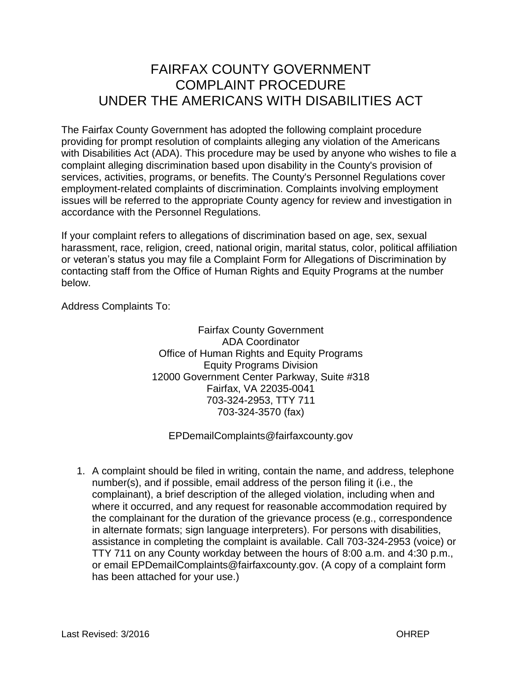## FAIRFAX COUNTY GOVERNMENT COMPLAINT PROCEDURE UNDER THE AMERICANS WITH DISABILITIES ACT

The Fairfax County Government has adopted the following complaint procedure providing for prompt resolution of complaints alleging any violation of the Americans with Disabilities Act (ADA). This procedure may be used by anyone who wishes to file a complaint alleging discrimination based upon disability in the County's provision of services, activities, programs, or benefits. The County's Personnel Regulations cover employment-related complaints of discrimination. Complaints involving employment issues will be referred to the appropriate County agency for review and investigation in accordance with the Personnel Regulations.

If your complaint refers to allegations of discrimination based on age, sex, sexual harassment, race, religion, creed, national origin, marital status, color, political affiliation or veteran's status you may file a Complaint Form for Allegations of Discrimination by contacting staff from the Office of Human Rights and Equity Programs at the number below.

Address Complaints To:

Fairfax County Government ADA Coordinator Office of Human Rights and Equity Programs Equity Programs Division 12000 Government Center Parkway, Suite #318 Fairfax, VA 22035-0041 703-324-2953, TTY 711 703-324-3570 (fax)

EPDemailComplaints@fairfaxcounty.gov

1. A complaint should be filed in writing, contain the name, and address, telephone number(s), and if possible, email address of the person filing it (i.e., the complainant), a brief description of the alleged violation, including when and where it occurred, and any request for reasonable accommodation required by the complainant for the duration of the grievance process (e.g., correspondence in alternate formats; sign language interpreters). For persons with disabilities, assistance in completing the complaint is available. Call 703-324-2953 (voice) or TTY 711 on any County workday between the hours of 8:00 a.m. and 4:30 p.m., or email EPDemailComplaints@fairfaxcounty.gov. (A copy of a complaint form has been attached for your use.)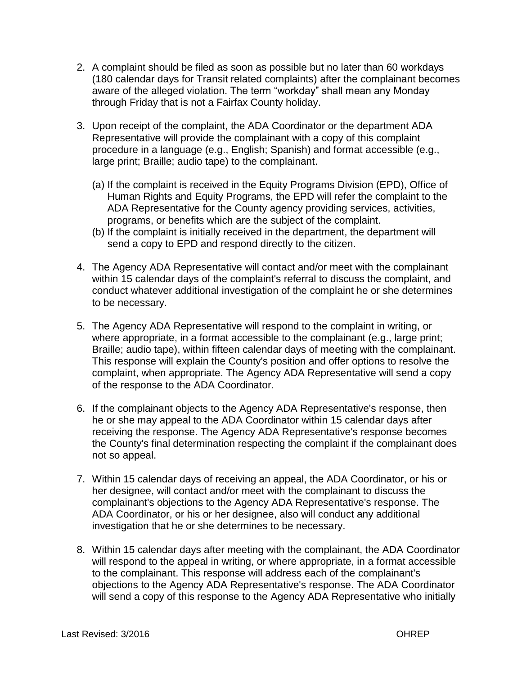- 2. A complaint should be filed as soon as possible but no later than 60 workdays (180 calendar days for Transit related complaints) after the complainant becomes aware of the alleged violation. The term "workday" shall mean any Monday through Friday that is not a Fairfax County holiday.
- 3. Upon receipt of the complaint, the ADA Coordinator or the department ADA Representative will provide the complainant with a copy of this complaint procedure in a language (e.g., English; Spanish) and format accessible (e.g., large print; Braille; audio tape) to the complainant.
	- (a) If the complaint is received in the Equity Programs Division (EPD), Office of Human Rights and Equity Programs, the EPD will refer the complaint to the ADA Representative for the County agency providing services, activities, programs, or benefits which are the subject of the complaint.
	- (b) If the complaint is initially received in the department, the department will send a copy to EPD and respond directly to the citizen.
- 4. The Agency ADA Representative will contact and/or meet with the complainant within 15 calendar days of the complaint's referral to discuss the complaint, and conduct whatever additional investigation of the complaint he or she determines to be necessary.
- 5. The Agency ADA Representative will respond to the complaint in writing, or where appropriate, in a format accessible to the complainant (e.g., large print; Braille; audio tape), within fifteen calendar days of meeting with the complainant. This response will explain the County's position and offer options to resolve the complaint, when appropriate. The Agency ADA Representative will send a copy of the response to the ADA Coordinator.
- 6. If the complainant objects to the Agency ADA Representative's response, then he or she may appeal to the ADA Coordinator within 15 calendar days after receiving the response. The Agency ADA Representative's response becomes the County's final determination respecting the complaint if the complainant does not so appeal.
- 7. Within 15 calendar days of receiving an appeal, the ADA Coordinator, or his or her designee, will contact and/or meet with the complainant to discuss the complainant's objections to the Agency ADA Representative's response. The ADA Coordinator, or his or her designee, also will conduct any additional investigation that he or she determines to be necessary.
- 8. Within 15 calendar days after meeting with the complainant, the ADA Coordinator will respond to the appeal in writing, or where appropriate, in a format accessible to the complainant. This response will address each of the complainant's objections to the Agency ADA Representative's response. The ADA Coordinator will send a copy of this response to the Agency ADA Representative who initially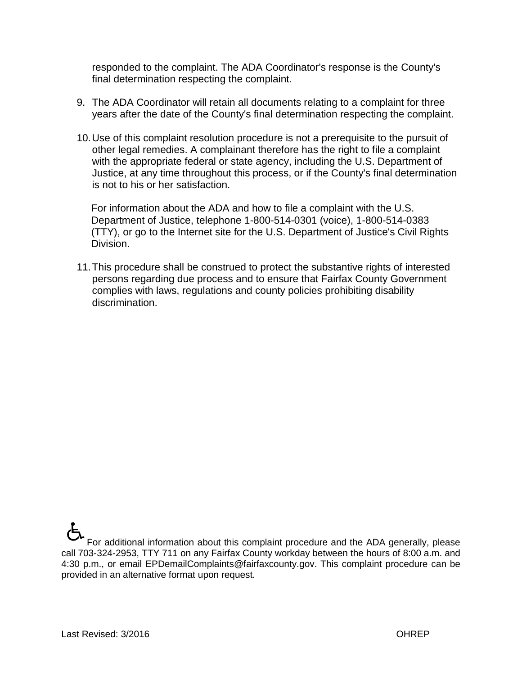responded to the complaint. The ADA Coordinator's response is the County's final determination respecting the complaint.

- 9. The ADA Coordinator will retain all documents relating to a complaint for three years after the date of the County's final determination respecting the complaint.
- 10.Use of this complaint resolution procedure is not a prerequisite to the pursuit of other legal remedies. A complainant therefore has the right to file a complaint with the appropriate federal or state agency, including the U.S. Department of Justice, at any time throughout this process, or if the County's final determination is not to his or her satisfaction.

For information about the ADA and how to file a complaint with the U.S. Department of Justice, telephone 1-800-514-0301 (voice), 1-800-514-0383 (TTY), or go to the Internet site for the U.S. Department of Justice's Civil Rights Division.

11.This procedure shall be construed to protect the substantive rights of interested persons regarding due process and to ensure that Fairfax County Government complies with laws, regulations and county policies prohibiting disability discrimination.

For additional information about this complaint procedure and the ADA generally, please call 703-324-2953, TTY 711 on any Fairfax County workday between the hours of 8:00 a.m. and 4:30 p.m., or email EPDemailComplaints@fairfaxcounty.gov. This complaint procedure can be provided in an alternative format upon request.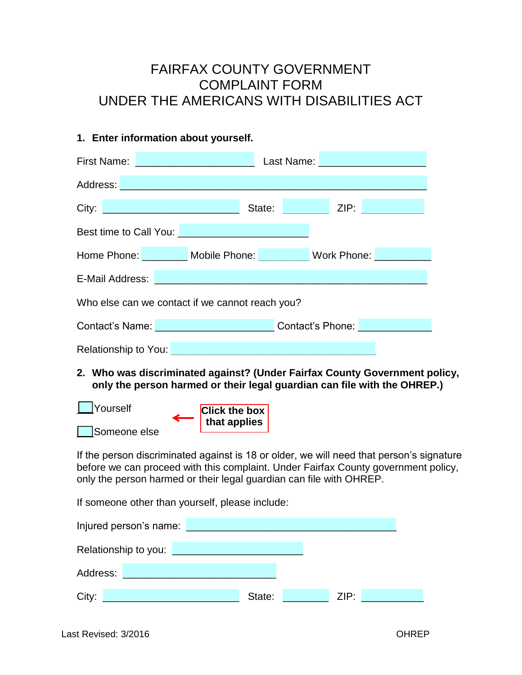## FAIRFAX COUNTY GOVERNMENT COMPLAINT FORM UNDER THE AMERICANS WITH DISABILITIES ACT

## **1. Enter information about yourself.**

|                                                                                                                       | <b>First Name: Example 2008</b>                  |        |                                          |                           |
|-----------------------------------------------------------------------------------------------------------------------|--------------------------------------------------|--------|------------------------------------------|---------------------------|
| Address:                                                                                                              |                                                  |        |                                          |                           |
|                                                                                                                       |                                                  | State: | <b>Example 2.1P:</b>                     | <u>a sa salawan na sa</u> |
| Best time to Call You: <u>Department of the Secret Secret Secret Secret Secret Secret Secret Secret Secret Secret</u> |                                                  |        |                                          |                           |
|                                                                                                                       | Home Phone: Mobile Phone: Work Phone:            |        |                                          |                           |
| E-Mail Address:                                                                                                       |                                                  |        |                                          |                           |
| Who else can we contact if we cannot reach you?                                                                       |                                                  |        |                                          |                           |
|                                                                                                                       | Contact's Name: Value of Alberta Contact's Name: |        | Contact's Phone: <b>Contact's Phone:</b> |                           |
| Relationship to You:                                                                                                  |                                                  |        |                                          |                           |

**2. Who was discriminated against? (Under Fairfax County Government policy, only the person harmed or their legal guardian can file with the OHREP.)**



If the person discriminated against is 18 or older, we will need that person's signature before we can proceed with this complaint. Under Fairfax County government policy, only the person harmed or their legal guardian can file with OHREP.

If someone other than yourself, please include:

| Injured person's name: |        |      |
|------------------------|--------|------|
| Relationship to you:   |        |      |
| Address:               |        |      |
| City:                  | State: | ZIP: |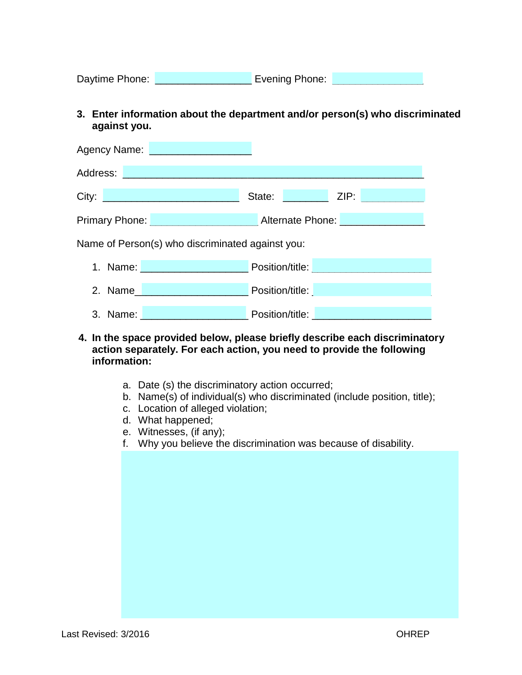| Daytime Phone: | Evening Phone: |  |
|----------------|----------------|--|
|                |                |  |

**3. Enter information about the department and/or person(s) who discriminated against you.**

| Agency Name:<br><u>a sa barang sa mga sangang ng mga sangang ng mga sangang ng mga sangang ng mga sangang ng mga sangang ng mga sangang ng mga sangang ng mga sangang ng mga sangang ng mga sangang ng mga sangang ng mga sangang ng mga sangang</u> |                                                                      |  |  |  |
|------------------------------------------------------------------------------------------------------------------------------------------------------------------------------------------------------------------------------------------------------|----------------------------------------------------------------------|--|--|--|
| Address:                                                                                                                                                                                                                                             |                                                                      |  |  |  |
| City:<br>a di sebagai kecamatan di sebagai kecamatan di sebagai kecamatan dari sebagai kecamatan dari sebagai kecamatan                                                                                                                              | ZIP:<br>State:                                                       |  |  |  |
| <b>Primary Phone:</b>                                                                                                                                                                                                                                | Alternate Phone: Alternate Phone:                                    |  |  |  |
| Name of Person(s) who discriminated against you:                                                                                                                                                                                                     |                                                                      |  |  |  |
| 1. Name:<br>and the control of the control of the control of                                                                                                                                                                                         | Position/title:<br><u> 1999 - Jan Barnett, fransk politik (d. 19</u> |  |  |  |
| 2. Name                                                                                                                                                                                                                                              | <b>Position/title:</b>                                               |  |  |  |
| 3. Name:                                                                                                                                                                                                                                             | Position/title:                                                      |  |  |  |

- **4. In the space provided below, please briefly describe each discriminatory action separately. For each action, you need to provide the following information:**
	- a. Date (s) the discriminatory action occurred;
	- b. Name(s) of individual(s) who discriminated (include position, title);
	- c. Location of alleged violation;
	- d. What happened;
	- e. Witnesses, (if any);
	- f. Why you believe the discrimination was because of disability.